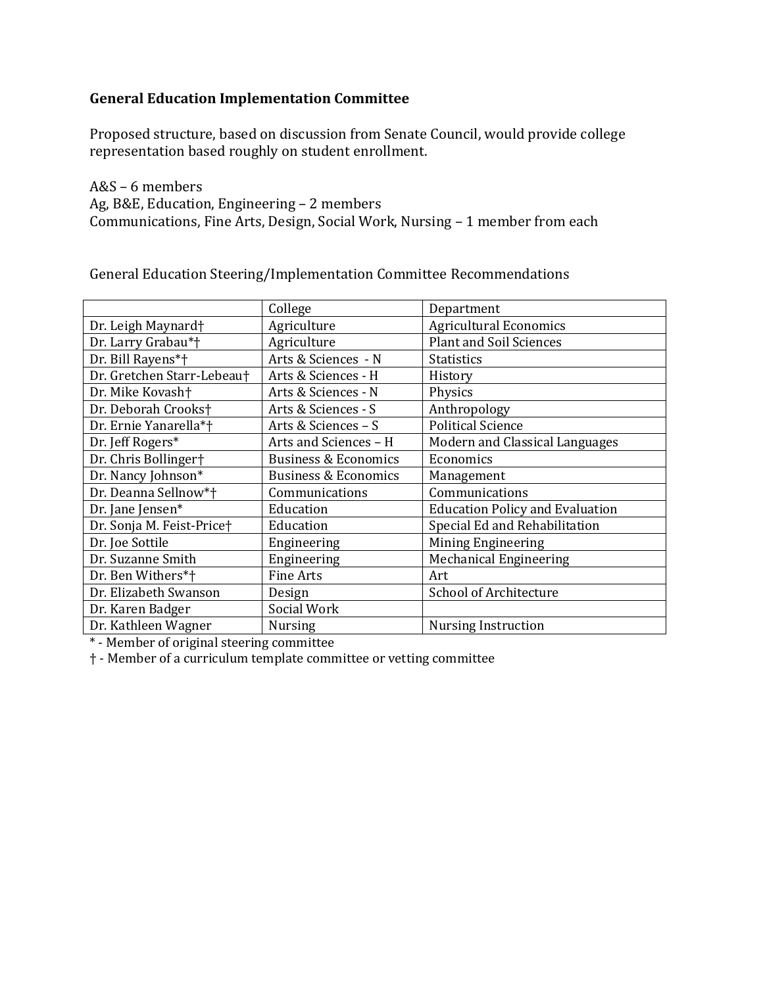# **General Education Implementation Committee**

Proposed structure, based on discussion from Senate Council, would provide college representation based roughly on student enrollment.

A&S – 6 members Ag, B&E, Education, Engineering – 2 members Communications, Fine Arts, Design, Social Work, Nursing – 1 member from each

General Education Steering/Implementation Committee Recommendations

|                              | College                         | Department                             |
|------------------------------|---------------------------------|----------------------------------------|
| Dr. Leigh Maynard†           | Agriculture                     | <b>Agricultural Economics</b>          |
| Dr. Larry Grabau*†           | Agriculture                     | <b>Plant and Soil Sciences</b>         |
| Dr. Bill Rayens*†            | Arts & Sciences - N             | <b>Statistics</b>                      |
| Dr. Gretchen Starr-Lebeau†   | Arts & Sciences - H             | History                                |
| Dr. Mike Kovash <sup>+</sup> | Arts & Sciences - N             | Physics                                |
| Dr. Deborah Crooks†          | Arts & Sciences - S             | Anthropology                           |
| Dr. Ernie Yanarella*†        | Arts & Sciences - S             | <b>Political Science</b>               |
| Dr. Jeff Rogers*             | Arts and Sciences - H           | Modern and Classical Languages         |
| Dr. Chris Bollinger†         | <b>Business &amp; Economics</b> | Economics                              |
| Dr. Nancy Johnson*           | <b>Business &amp; Economics</b> | Management                             |
| Dr. Deanna Sellnow*†         | Communications                  | Communications                         |
| Dr. Jane Jensen*             | Education                       | <b>Education Policy and Evaluation</b> |
| Dr. Sonja M. Feist-Price†    | Education                       | Special Ed and Rehabilitation          |
| Dr. Joe Sottile              | Engineering                     | <b>Mining Engineering</b>              |
| Dr. Suzanne Smith            | Engineering                     | <b>Mechanical Engineering</b>          |
| Dr. Ben Withers*†            | <b>Fine Arts</b>                | Art                                    |
| Dr. Elizabeth Swanson        | Design                          | <b>School of Architecture</b>          |
| Dr. Karen Badger             | Social Work                     |                                        |
| Dr. Kathleen Wagner          | <b>Nursing</b>                  | Nursing Instruction                    |

\* - Member of original steering committee

† - Member of a curriculum template committee or vetting committee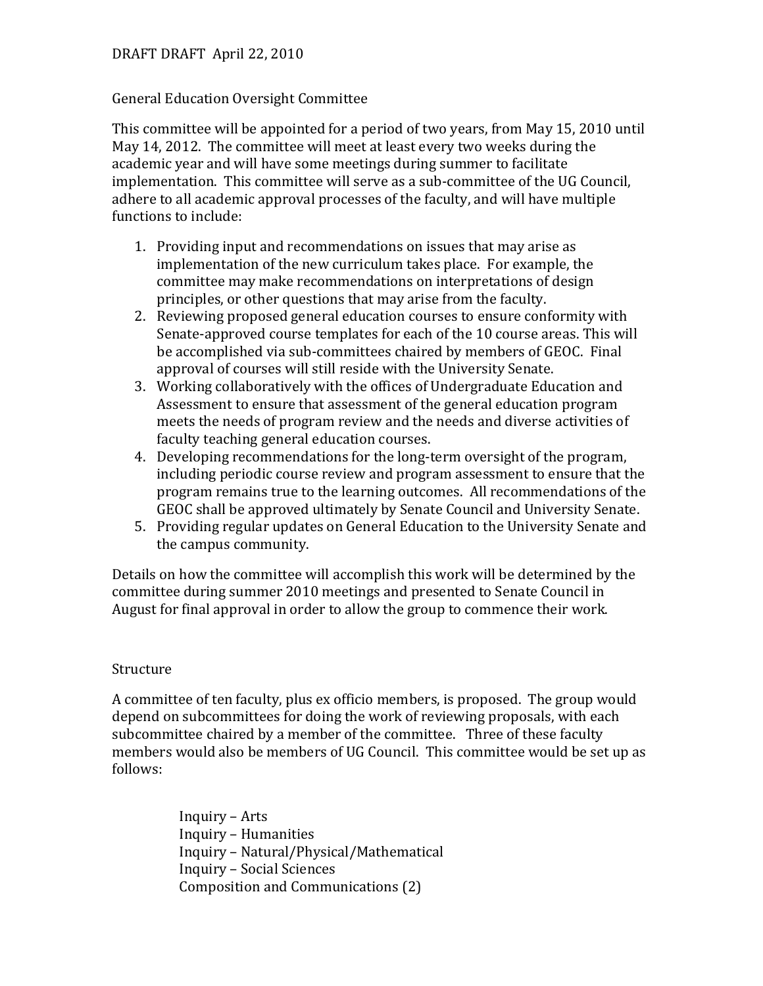## DRAFT DRAFT April 22, 2010

#### General Education Oversight Committee

This committee will be appointed for a period of two years, from May 15, 2010 until May 14, 2012. The committee will meet at least every two weeks during the academic year and will have some meetings during summer to facilitate implementation. This committee will serve as a sub-committee of the UG Council, adhere to all academic approval processes of the faculty, and will have multiple functions to include:

- 1. Providing input and recommendations on issues that may arise as implementation of the new curriculum takes place. For example, the committee may make recommendations on interpretations of design principles, or other questions that may arise from the faculty.
- 2. Reviewing proposed general education courses to ensure conformity with Senate-approved course templates for each of the 10 course areas. This will be accomplished via sub-committees chaired by members of GEOC. Final approval of courses will still reside with the University Senate.
- 3. Working collaboratively with the offices of Undergraduate Education and Assessment to ensure that assessment of the general education program meets the needs of program review and the needs and diverse activities of faculty teaching general education courses.
- 4. Developing recommendations for the long-term oversight of the program, including periodic course review and program assessment to ensure that the program remains true to the learning outcomes. All recommendations of the GEOC shall be approved ultimately by Senate Council and University Senate.
- 5. Providing regular updates on General Education to the University Senate and the campus community.

Details on how the committee will accomplish this work will be determined by the committee during summer 2010 meetings and presented to Senate Council in August for final approval in order to allow the group to commence their work.

### Structure

A committee of ten faculty, plus ex officio members, is proposed. The group would depend on subcommittees for doing the work of reviewing proposals, with each subcommittee chaired by a member of the committee. Three of these faculty members would also be members of UG Council. This committee would be set up as follows:

> Inquiry – Arts Inquiry – Humanities Inquiry – Natural/Physical/Mathematical Inquiry – Social Sciences Composition and Communications (2)